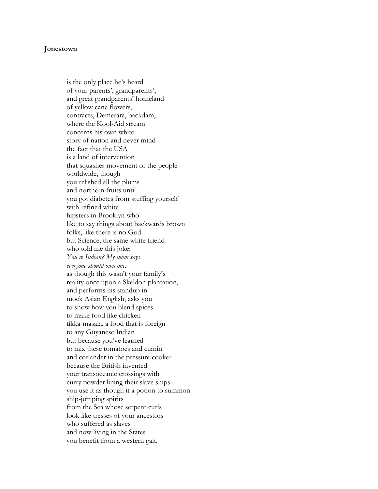## **Jonestown**

is the only place he's heard of your parents', grandparents', and great grandparents' homeland of yellow cane flowers, contracts, Demerara, backdam, where the Kool-Aid stream concerns his own white story of nation and never mind the fact that the USA is a land of intervention that squashes movement of the people worldwide, though you relished all the plums and northern fruits until you got diabetes from stuffing yourself with refined white hipsters in Brooklyn who like to say things about backwards brown folks, like there is no God but Science, the same white friend who told me this joke: *You're Indian? My mom says everyone should own one*, as though this wasn't your family's reality once upon a Skeldon plantation, and performs his standup in mock Asian English, asks you to show how you blend spices to make food like chickentikka-masala, a food that is foreign to any Guyanese Indian but because you've learned to mix these tomatoes and cumin and coriander in the pressure cooker because the British invented your transoceanic crossings with curry powder lining their slave ships you use it as though it a potion to summon ship-jumping spirits from the Sea whose serpent curls look like tresses of your ancestors who suffered as slaves and now living in the States you benefit from a western gait,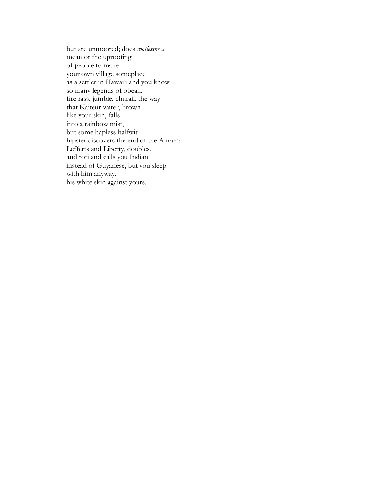but are unmoored; does *rootlessness* mean or the uprooting of people to make your own village someplace as a settler in Hawai'i and you know so many legends of obeah, fire rass, jumbie, churail, the way that Kaiteur water, brown like your skin, falls into a rainbow mist, but some hapless halfwit hipster discovers the end of the A train: Lefferts and Liberty, doubles, and roti and calls you Indian instead of Guyanese, but you sleep with him anyway, his white skin against yours.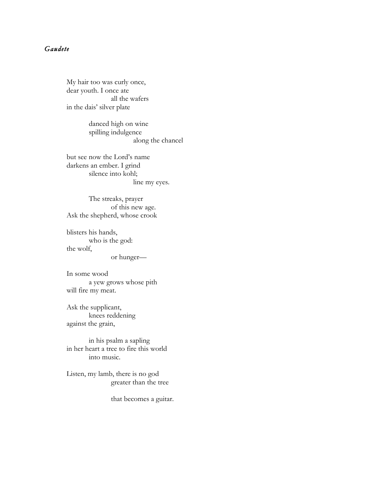## *Gaudete*

My hair too was curly once, dear youth. I once ate all the wafers in the dais' silver plate

> danced high on wine spilling indulgence along the chancel

but see now the Lord's name darkens an ember. I grind silence into kohl; line my eyes.

The streaks, prayer of this new age. Ask the shepherd, whose crook

blisters his hands, who is the god: the wolf,

or hunger—

In some wood a yew grows whose pith will fire my meat.

Ask the supplicant, knees reddening against the grain,

in his psalm a sapling in her heart a tree to fire this world into music.

Listen, my lamb, there is no god greater than the tree

that becomes a guitar.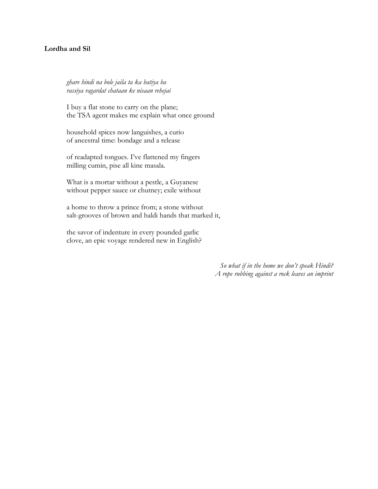## **Lordha and Sil**

*ghare hindi na bole jaila ta ka batiya ba rassiya ragardat chataan ke nisaan rehejai*

I buy a flat stone to carry on the plane; the TSA agent makes me explain what once ground

household spices now languishes, a curio of ancestral time: bondage and a release

of readapted tongues. I've flattened my fingers milling cumin, pise all kine masala.

What is a mortar without a pestle, a Guyanese without pepper sauce or chutney; exile without

a home to throw a prince from; a stone without salt-grooves of brown and haldi hands that marked it,

the savor of indenture in every pounded garlic clove, an epic voyage rendered new in English?

> *So what if in the home we don't speak Hindi? A rope rubbing against a rock leaves an imprint*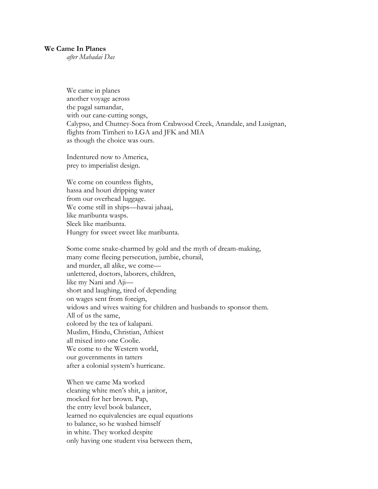## **We Came In Planes**

*after Mahadai Das*

We came in planes another voyage across the pagal samandar, with our cane-cutting songs, Calypso, and Chutney-Soca from Crabwood Creek, Anandale, and Lusignan, flights from Timheri to LGA and JFK and MIA as though the choice was ours.

Indentured now to America, prey to imperialist design.

We come on countless flights, hassa and houri dripping water from our overhead luggage. We come still in ships—hawai jahaaj, like maribunta wasps. Sleek like maribunta. Hungry for sweet sweet like maribunta.

Some come snake-charmed by gold and the myth of dream-making, many come fleeing persecution, jumbie, churail, and murder, all alike, we come unlettered, doctors, laborers, children, like my Nani and Aji short and laughing, tired of depending on wages sent from foreign, widows and wives waiting for children and husbands to sponsor them. All of us the same, colored by the tea of kalapani. Muslim, Hindu, Christian, Athiest all mixed into one Coolie. We come to the Western world, our governments in tatters after a colonial system's hurricane.

When we came Ma worked cleaning white men's shit, a janitor, mocked for her brown. Pap, the entry level book balancer, learned no equivalencies are equal equations to balance, so he washed himself in white. They worked despite only having one student visa between them,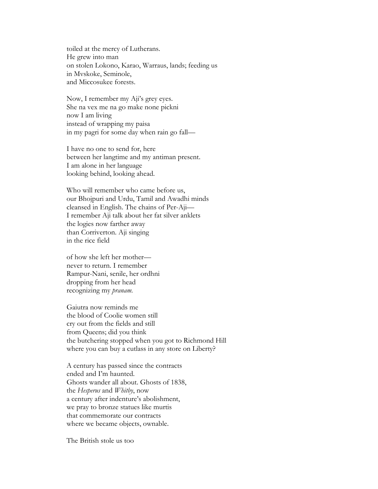toiled at the mercy of Lutherans. He grew into man on stolen Lokono, Karao, Warraus, lands; feeding us in Mvskoke, Seminole, and Miccosukee forests.

Now, I remember my Aji's grey eyes. She na vex me na go make none pickni now I am living instead of wrapping my paisa in my pagri for some day when rain go fall—

I have no one to send for, here between her langtime and my antiman present. I am alone in her language looking behind, looking ahead.

Who will remember who came before us, our Bhojpuri and Urdu, Tamil and Awadhi minds cleansed in English. The chains of Per-Aji— I remember Aji talk about her fat silver anklets the logies now farther away than Corriverton. Aji singing in the rice field

of how she left her mother never to return. I remember Rampur-Nani, senile, her ordhni dropping from her head recognizing my *pranam*.

Gaiutra now reminds me the blood of Coolie women still cry out from the fields and still from Queens; did you think the butchering stopped when you got to Richmond Hill where you can buy a cutlass in any store on Liberty?

A century has passed since the contracts ended and I'm haunted. Ghosts wander all about. Ghosts of 1838, the *Hesperus* and *Whitby*, now a century after indenture's abolishment, we pray to bronze statues like murtis that commemorate our contracts where we became objects, ownable.

The British stole us too